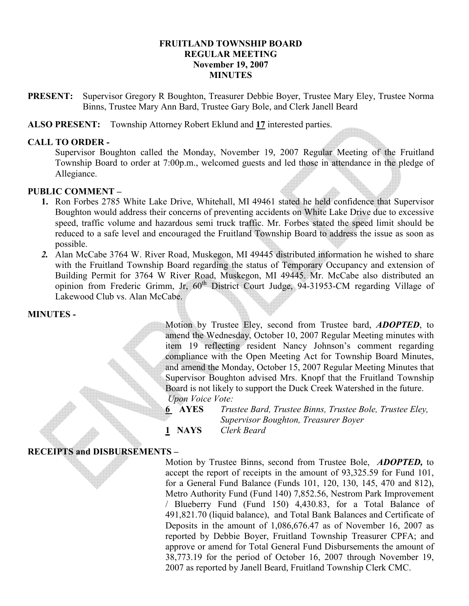## FRUITLAND TOWNSHIP BOARD REGULAR MEETING November 19, 2007 **MINUTES**

PRESENT: Supervisor Gregory R Boughton, Treasurer Debbie Boyer, Trustee Mary Eley, Trustee Norma Binns, Trustee Mary Ann Bard, Trustee Gary Bole, and Clerk Janell Beard

ALSO PRESENT: Township Attorney Robert Eklund and 17 interested parties.

### CALL TO ORDER -

Supervisor Boughton called the Monday, November 19, 2007 Regular Meeting of the Fruitland Township Board to order at 7:00p.m., welcomed guests and led those in attendance in the pledge of Allegiance.

## PUBLIC COMMENT –

- 1. Ron Forbes 2785 White Lake Drive, Whitehall, MI 49461 stated he held confidence that Supervisor Boughton would address their concerns of preventing accidents on White Lake Drive due to excessive speed, traffic volume and hazardous semi truck traffic. Mr. Forbes stated the speed limit should be reduced to a safe level and encouraged the Fruitland Township Board to address the issue as soon as possible.
- 2. Alan McCabe 3764 W. River Road, Muskegon, MI 49445 distributed information he wished to share with the Fruitland Township Board regarding the status of Temporary Occupancy and extension of Building Permit for 3764 W River Road, Muskegon, MI 49445. Mr. McCabe also distributed an opinion from Frederic Grimm, Jr,  $60^{th}$  District Court Judge, 94-31953-CM regarding Village of Lakewood Club vs. Alan McCabe.

#### MINUTES -

Motion by Trustee Eley, second from Trustee bard, **ADOPTED**, to amend the Wednesday, October 10, 2007 Regular Meeting minutes with item 19 reflecting resident Nancy Johnson's comment regarding compliance with the Open Meeting Act for Township Board Minutes, and amend the Monday, October 15, 2007 Regular Meeting Minutes that Supervisor Boughton advised Mrs. Knopf that the Fruitland Township Board is not likely to support the Duck Creek Watershed in the future. Upon Voice Vote:

- 6 AYES Trustee Bard, Trustee Binns, Trustee Bole, Trustee Eley, Supervisor Boughton, Treasurer Boyer
- 1 NAYS Clerk Beard

# RECEIPTS and DISBURSEMENTS –

Motion by Trustee Binns, second from Trustee Bole, *ADOPTED*, to accept the report of receipts in the amount of 93,325.59 for Fund 101, for a General Fund Balance (Funds 101, 120, 130, 145, 470 and 812), Metro Authority Fund (Fund 140) 7,852.56, Nestrom Park Improvement / Blueberry Fund (Fund 150) 4,430.83, for a Total Balance of 491,821.70 (liquid balance), and Total Bank Balances and Certificate of Deposits in the amount of 1,086,676.47 as of November 16, 2007 as reported by Debbie Boyer, Fruitland Township Treasurer CPFA; and approve or amend for Total General Fund Disbursements the amount of 38,773.19 for the period of October 16, 2007 through November 19, 2007 as reported by Janell Beard, Fruitland Township Clerk CMC.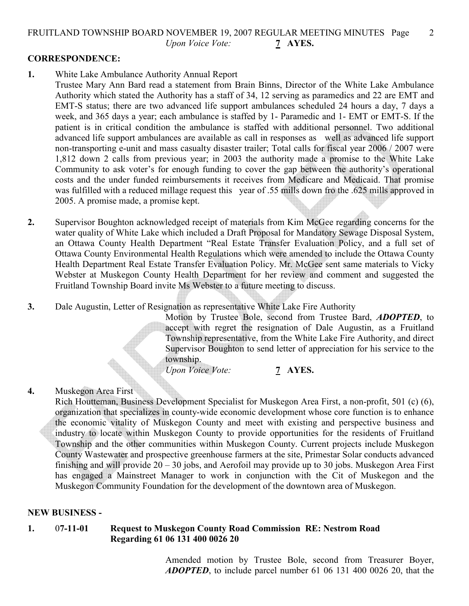## FRUITLAND TOWNSHIP BOARD NOVEMBER 19, 2007 REGULAR MEETING MINUTES Page 2 Upon Voice Vote: 7 AYES.

## CORRESPONDENCE:

1. White Lake Ambulance Authority Annual Report

Trustee Mary Ann Bard read a statement from Brain Binns, Director of the White Lake Ambulance Authority which stated the Authority has a staff of 34, 12 serving as paramedics and 22 are EMT and EMT-S status; there are two advanced life support ambulances scheduled 24 hours a day, 7 days a week, and 365 days a year; each ambulance is staffed by 1- Paramedic and 1- EMT or EMT-S. If the patient is in critical condition the ambulance is staffed with additional personnel. Two additional advanced life support ambulances are available as call in responses as well as advanced life support non-transporting e-unit and mass casualty disaster trailer; Total calls for fiscal year 2006 / 2007 were 1,812 down 2 calls from previous year; in 2003 the authority made a promise to the White Lake Community to ask voter's for enough funding to cover the gap between the authority's operational costs and the under funded reimbursements it receives from Medicare and Medicaid. That promise was fulfilled with a reduced millage request this year of .55 mills down fro the .625 mills approved in 2005. A promise made, a promise kept.

- 2. Supervisor Boughton acknowledged receipt of materials from Kim McGee regarding concerns for the water quality of White Lake which included a Draft Proposal for Mandatory Sewage Disposal System, an Ottawa County Health Department "Real Estate Transfer Evaluation Policy, and a full set of Ottawa County Environmental Health Regulations which were amended to include the Ottawa County Health Department Real Estate Transfer Evaluation Policy. Mr. McGee sent same materials to Vicky Webster at Muskegon County Health Department for her review and comment and suggested the Fruitland Township Board invite Ms Webster to a future meeting to discuss.
- 3. Dale Augustin, Letter of Resignation as representative White Lake Fire Authority

Motion by Trustee Bole, second from Trustee Bard, ADOPTED, to accept with regret the resignation of Dale Augustin, as a Fruitland Township representative, from the White Lake Fire Authority, and direct Supervisor Boughton to send letter of appreciation for his service to the township.

Upon Voice Vote: 7 AYES.

## 4. Muskegon Area First

Rich Houtteman, Business Development Specialist for Muskegon Area First, a non-profit, 501 (c) (6), organization that specializes in county-wide economic development whose core function is to enhance the economic vitality of Muskegon County and meet with existing and perspective business and industry to locate within Muskegon County to provide opportunities for the residents of Fruitland Township and the other communities within Muskegon County. Current projects include Muskegon County Wastewater and prospective greenhouse farmers at the site, Primestar Solar conducts advanced finishing and will provide 20 – 30 jobs, and Aerofoil may provide up to 30 jobs. Muskegon Area First has engaged a Mainstreet Manager to work in conjunction with the Cit of Muskegon and the Muskegon Community Foundation for the development of the downtown area of Muskegon.

## NEW BUSINESS -

## 1. 07-11-01 Request to Muskegon County Road Commission RE: Nestrom Road Regarding 61 06 131 400 0026 20

Amended motion by Trustee Bole, second from Treasurer Boyer, ADOPTED, to include parcel number 61 06 131 400 0026 20, that the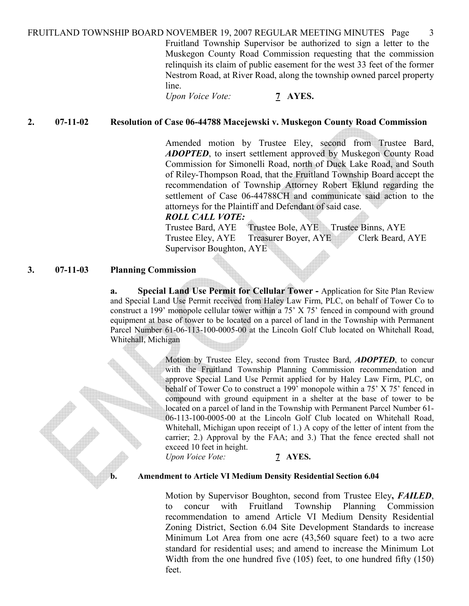FRUITLAND TOWNSHIP BOARD NOVEMBER 19, 2007 REGULAR MEETING MINUTES Page 3 Fruitland Township Supervisor be authorized to sign a letter to the Muskegon County Road Commission requesting that the commission relinquish its claim of public easement for the west 33 feet of the former Nestrom Road, at River Road, along the township owned parcel property line.

Upon Voice Vote: 7 AYES.

### 2. 07-11-02 Resolution of Case 06-44788 Macejewski v. Muskegon County Road Commission

Amended motion by Trustee Eley, second from Trustee Bard, ADOPTED, to insert settlement approved by Muskegon County Road Commission for Simonelli Road, north of Duck Lake Road, and South of Riley-Thompson Road, that the Fruitland Township Board accept the recommendation of Township Attorney Robert Eklund regarding the settlement of Case 06-44788CH and communicate said action to the attorneys for the Plaintiff and Defendant of said case.

### ROLL CALL VOTE:

Trustee Bard, AYE Trustee Bole, AYE Trustee Binns, AYE Trustee Eley, AYE Treasurer Boyer, AYE Clerk Beard, AYE Supervisor Boughton, AYE

### 3. 07-11-03 Planning Commission

a. Special Land Use Permit for Cellular Tower - Application for Site Plan Review and Special Land Use Permit received from Haley Law Firm, PLC, on behalf of Tower Co to construct a 199' monopole cellular tower within a 75' X 75' fenced in compound with ground equipment at base of tower to be located on a parcel of land in the Township with Permanent Parcel Number 61-06-113-100-0005-00 at the Lincoln Golf Club located on Whitehall Road, Whitehall, Michigan

> Motion by Trustee Eley, second from Trustee Bard, **ADOPTED**, to concur with the Fruitland Township Planning Commission recommendation and approve Special Land Use Permit applied for by Haley Law Firm, PLC, on behalf of Tower Co to construct a 199' monopole within a 75' X 75' fenced in compound with ground equipment in a shelter at the base of tower to be located on a parcel of land in the Township with Permanent Parcel Number 61- 06-113-100-0005-00 at the Lincoln Golf Club located on Whitehall Road, Whitehall, Michigan upon receipt of 1.) A copy of the letter of intent from the carrier; 2.) Approval by the FAA; and 3.) That the fence erected shall not exceed 10 feet in height.

Upon Voice Vote: 7 AYES.

#### b. Amendment to Article VI Medium Density Residential Section 6.04

Motion by Supervisor Boughton, second from Trustee Eley, FAILED, to concur with Fruitland Township Planning Commission recommendation to amend Article VI Medium Density Residential Zoning District, Section 6.04 Site Development Standards to increase Minimum Lot Area from one acre (43,560 square feet) to a two acre standard for residential uses; and amend to increase the Minimum Lot Width from the one hundred five (105) feet, to one hundred fifty (150) feet.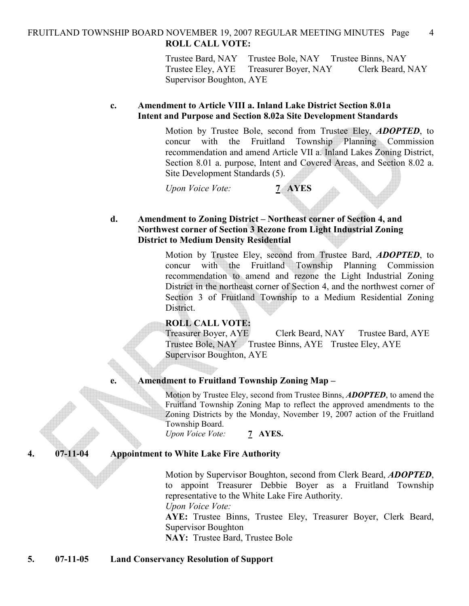## FRUITLAND TOWNSHIP BOARD NOVEMBER 19, 2007 REGULAR MEETING MINUTES Page 4 ROLL CALL VOTE:

Trustee Bard, NAY Trustee Bole, NAY Trustee Binns, NAY Trustee Eley, AYE Treasurer Boyer, NAY Clerk Beard, NAY Supervisor Boughton, AYE

## c. Amendment to Article VIII a. Inland Lake District Section 8.01a Intent and Purpose and Section 8.02a Site Development Standards

Motion by Trustee Bole, second from Trustee Eley, ADOPTED, to concur with the Fruitland Township Planning Commission recommendation and amend Article VII a. Inland Lakes Zoning District, Section 8.01 a. purpose, Intent and Covered Areas, and Section 8.02 a. Site Development Standards (5).

Upon Voice Vote: 7 AYES

## d. Amendment to Zoning District – Northeast corner of Section 4, and Northwest corner of Section 3 Rezone from Light Industrial Zoning District to Medium Density Residential

Motion by Trustee Eley, second from Trustee Bard, **ADOPTED**, to concur with the Fruitland Township Planning Commission recommendation to amend and rezone the Light Industrial Zoning District in the northeast corner of Section 4, and the northwest corner of Section 3 of Fruitland Township to a Medium Residential Zoning District.

## ROLL CALL VOTE:

Treasurer Boyer, AYE Clerk Beard, NAY Trustee Bard, AYE Trustee Bole, NAY Trustee Binns, AYE Trustee Eley, AYE Supervisor Boughton, AYE

## e. Amendment to Fruitland Township Zoning Map –

Motion by Trustee Eley, second from Trustee Binns, **ADOPTED**, to amend the Fruitland Township Zoning Map to reflect the approved amendments to the Zoning Districts by the Monday, November 19, 2007 action of the Fruitland Township Board.

Upon Voice Vote: 7 AYES.

## 4. 07-11-04 Appointment to White Lake Fire Authority

Motion by Supervisor Boughton, second from Clerk Beard, **ADOPTED**, to appoint Treasurer Debbie Boyer as a Fruitland Township representative to the White Lake Fire Authority.

Upon Voice Vote:

AYE: Trustee Binns, Trustee Eley, Treasurer Boyer, Clerk Beard, Supervisor Boughton

NAY: Trustee Bard, Trustee Bole

## 5. 07-11-05 Land Conservancy Resolution of Support